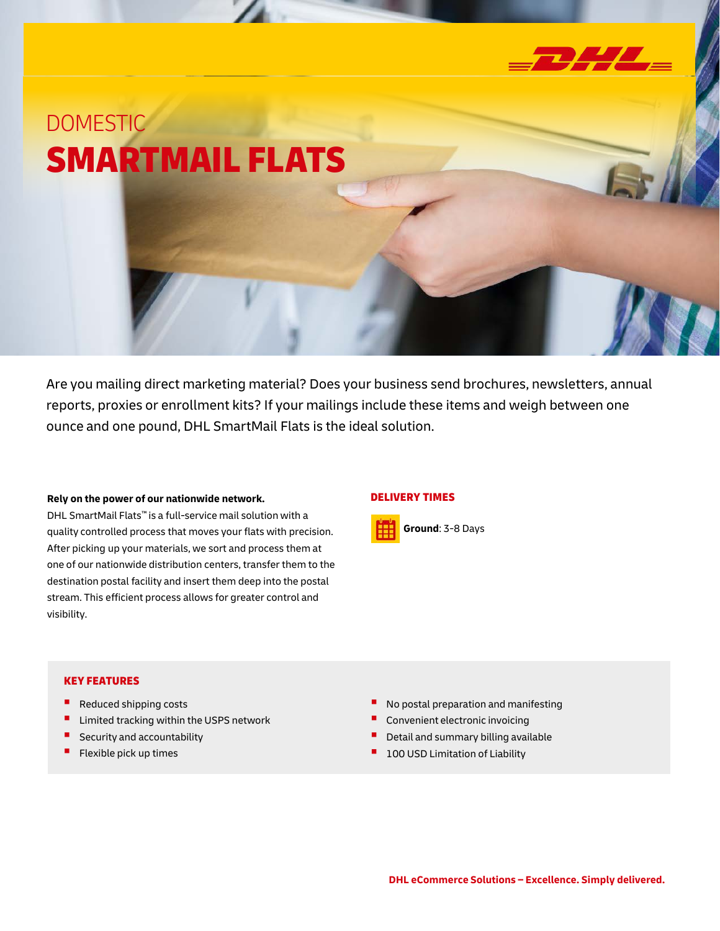

# DOMESTIC SMARTMAIL FLATS

Are you mailing direct marketing material? Does your business send brochures, newsletters, annual reports, proxies or enrollment kits? If your mailings include these items and weigh between one ounce and one pound, DHL SmartMail Flats is the ideal solution.

#### **Rely on the power of our nationwide network.**

DHL SmartMail Flats™ is a full-service mail solution with a quality controlled process that moves your flats with precision. After picking up your materials, we sort and process them at one of our nationwide distribution centers, transfer them to the destination postal facility and insert them deep into the postal stream. This efficient process allows for greater control and visibility.

#### DELIVERY TIMES



### KEY FEATURES

- Reduced shipping costs
- Limited tracking within the USPS network
- Security and accountability
- Flexible pick up times
- No postal preparation and manifesting
- Convenient electronic invoicing
- Detail and summary billing available
- 100 USD Limitation of Liability